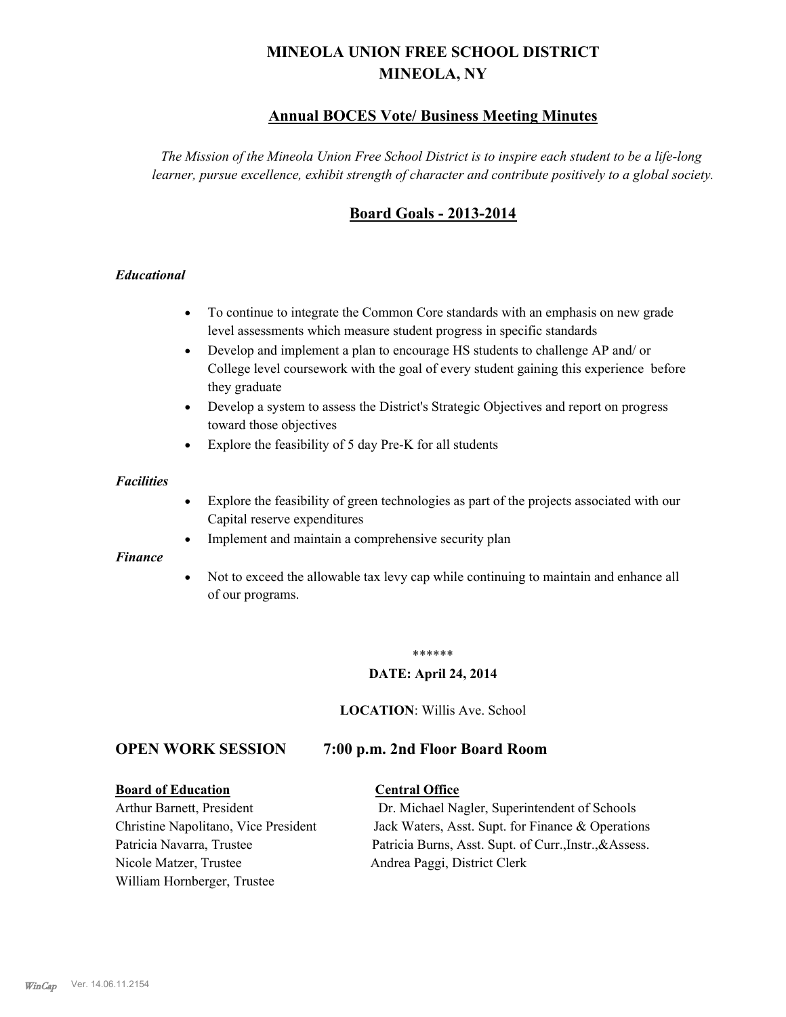# **MINEOLA UNION FREE SCHOOL DISTRICT MINEOLA, NY**

# **Annual BOCES Vote/ Business Meeting Minutes**

*The Mission of the Mineola Union Free School District is to inspire each student to be a life-long learner, pursue excellence, exhibit strength of character and contribute positively to a global society.*

# **Board Goals - 2013-2014**

# *Educational*

- · To continue to integrate the Common Core standards with an emphasis on new grade level assessments which measure student progress in specific standards
- · Develop and implement a plan to encourage HS students to challenge AP and/ or College level coursework with the goal of every student gaining this experience before they graduate
- Develop a system to assess the District's Strategic Objectives and report on progress toward those objectives
- · Explore the feasibility of 5 day Pre-K for all students

#### *Facilities*

- · Explore the feasibility of green technologies as part of the projects associated with our Capital reserve expenditures
- Implement and maintain a comprehensive security plan

#### *Finance*

• Not to exceed the allowable tax levy cap while continuing to maintain and enhance all of our programs.

#### \*\*\*\*\*\*

#### **DATE: April 24, 2014**

**LOCATION**: Willis Ave. School

# **OPEN WORK SESSION 7:00 p.m. 2nd Floor Board Room**

#### **Board of Education Central Office**

Nicole Matzer, Trustee Andrea Paggi, District Clerk William Hornberger, Trustee

Arthur Barnett, President Dr. Michael Nagler, Superintendent of Schools Christine Napolitano, Vice President Jack Waters, Asst. Supt. for Finance & Operations Patricia Navarra, Trustee Patricia Burns, Asst. Supt. of Curr., Instr., &Assess.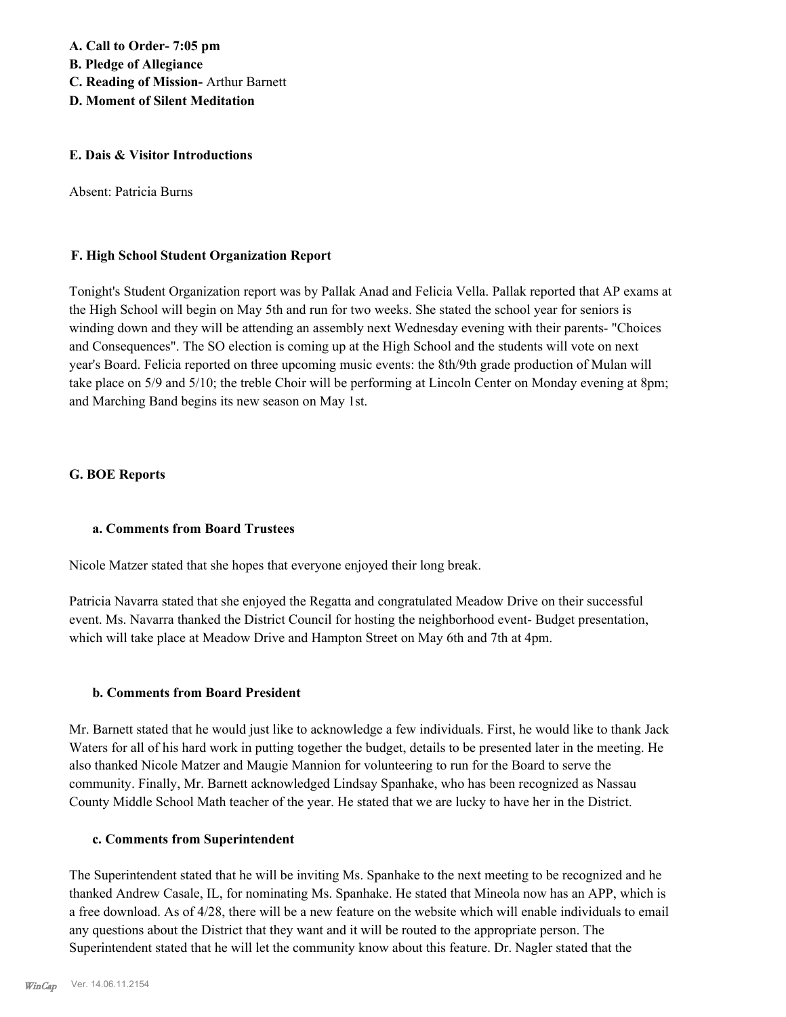#### **E. Dais & Visitor Introductions**

Absent: Patricia Burns

### **F. High School Student Organization Report**

Tonight's Student Organization report was by Pallak Anad and Felicia Vella. Pallak reported that AP exams at the High School will begin on May 5th and run for two weeks. She stated the school year for seniors is winding down and they will be attending an assembly next Wednesday evening with their parents- "Choices and Consequences". The SO election is coming up at the High School and the students will vote on next year's Board. Felicia reported on three upcoming music events: the 8th/9th grade production of Mulan will take place on 5/9 and 5/10; the treble Choir will be performing at Lincoln Center on Monday evening at 8pm; and Marching Band begins its new season on May 1st.

#### **G. BOE Reports**

#### **a. Comments from Board Trustees**

Nicole Matzer stated that she hopes that everyone enjoyed their long break.

Patricia Navarra stated that she enjoyed the Regatta and congratulated Meadow Drive on their successful event. Ms. Navarra thanked the District Council for hosting the neighborhood event- Budget presentation, which will take place at Meadow Drive and Hampton Street on May 6th and 7th at 4pm.

# **b. Comments from Board President**

Mr. Barnett stated that he would just like to acknowledge a few individuals. First, he would like to thank Jack Waters for all of his hard work in putting together the budget, details to be presented later in the meeting. He also thanked Nicole Matzer and Maugie Mannion for volunteering to run for the Board to serve the community. Finally, Mr. Barnett acknowledged Lindsay Spanhake, who has been recognized as Nassau County Middle School Math teacher of the year. He stated that we are lucky to have her in the District.

#### **c. Comments from Superintendent**

The Superintendent stated that he will be inviting Ms. Spanhake to the next meeting to be recognized and he thanked Andrew Casale, IL, for nominating Ms. Spanhake. He stated that Mineola now has an APP, which is a free download. As of 4/28, there will be a new feature on the website which will enable individuals to email any questions about the District that they want and it will be routed to the appropriate person. The Superintendent stated that he will let the community know about this feature. Dr. Nagler stated that the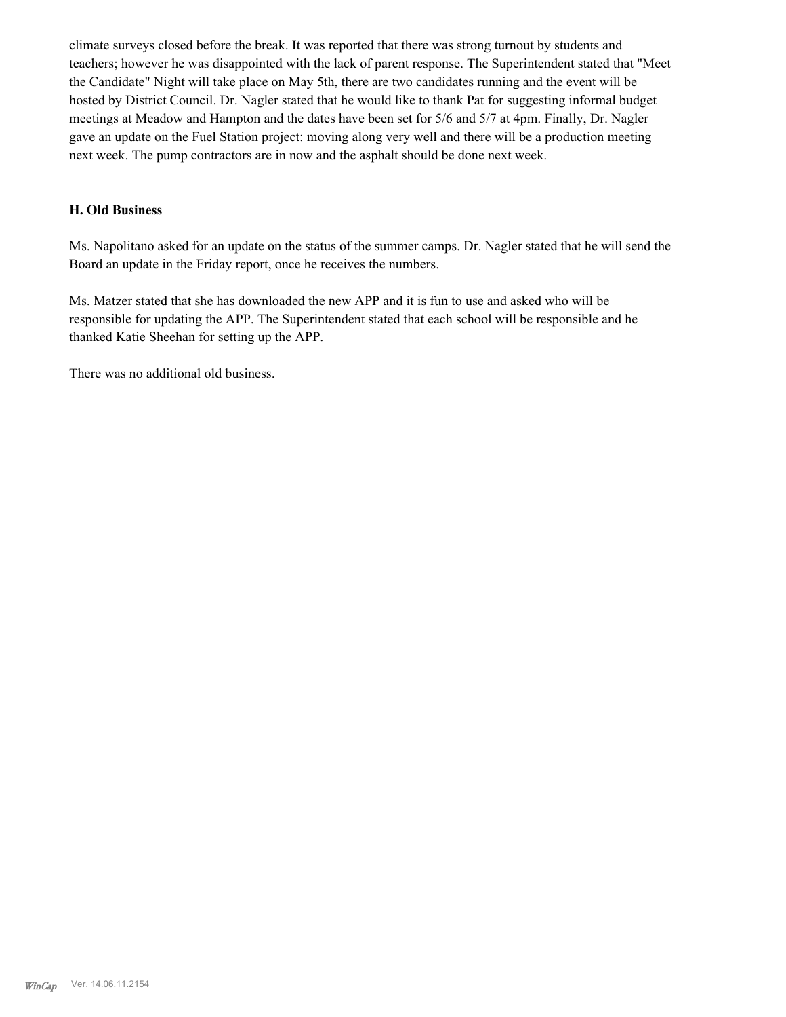climate surveys closed before the break. It was reported that there was strong turnout by students and teachers; however he was disappointed with the lack of parent response. The Superintendent stated that "Meet the Candidate" Night will take place on May 5th, there are two candidates running and the event will be hosted by District Council. Dr. Nagler stated that he would like to thank Pat for suggesting informal budget meetings at Meadow and Hampton and the dates have been set for 5/6 and 5/7 at 4pm. Finally, Dr. Nagler gave an update on the Fuel Station project: moving along very well and there will be a production meeting next week. The pump contractors are in now and the asphalt should be done next week.

#### **H. Old Business**

Ms. Napolitano asked for an update on the status of the summer camps. Dr. Nagler stated that he will send the Board an update in the Friday report, once he receives the numbers.

Ms. Matzer stated that she has downloaded the new APP and it is fun to use and asked who will be responsible for updating the APP. The Superintendent stated that each school will be responsible and he thanked Katie Sheehan for setting up the APP.

There was no additional old business.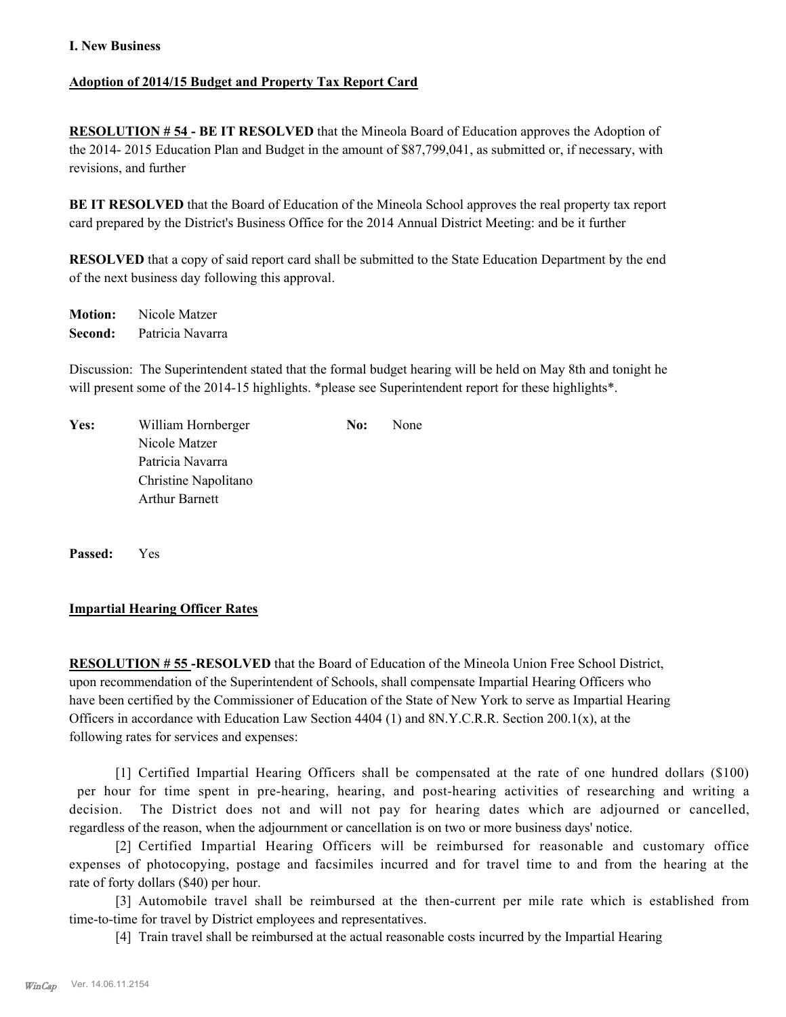## **I. New Business**

# **Adoption of 2014/15 Budget and Property Tax Report Card**

**RESOLUTION # 54 - BE IT RESOLVED** that the Mineola Board of Education approves the Adoption of the 2014- 2015 Education Plan and Budget in the amount of \$87,799,041, as submitted or, if necessary, with revisions, and further

**BE IT RESOLVED** that the Board of Education of the Mineola School approves the real property tax report card prepared by the District's Business Office for the 2014 Annual District Meeting: and be it further

**RESOLVED** that a copy of said report card shall be submitted to the State Education Department by the end of the next business day following this approval.

**Motion:** Nicole Matzer **Second:** Patricia Navarra

Discussion: The Superintendent stated that the formal budget hearing will be held on May 8th and tonight he will present some of the 2014-15 highlights. \*please see Superintendent report for these highlights\*.

| Yes: | William Hornberger    | No: | None |
|------|-----------------------|-----|------|
|      | Nicole Matzer         |     |      |
|      | Patricia Navarra      |     |      |
|      | Christine Napolitano  |     |      |
|      | <b>Arthur Barnett</b> |     |      |
|      |                       |     |      |

**Passed:** Yes

#### **Impartial Hearing Officer Rates**

**RESOLUTION # 55 -RESOLVED** that the Board of Education of the Mineola Union Free School District, upon recommendation of the Superintendent of Schools, shall compensate Impartial Hearing Officers who have been certified by the Commissioner of Education of the State of New York to serve as Impartial Hearing Officers in accordance with Education Law Section 4404 (1) and 8N.Y.C.R.R. Section 200.1(x), at the following rates for services and expenses:

[1] Certified Impartial Hearing Officers shall be compensated at the rate of one hundred dollars (\$100) per hour for time spent in pre-hearing, hearing, and post-hearing activities of researching and writing a decision. The District does not and will not pay for hearing dates which are adjourned or cancelled, regardless of the reason, when the adjournment or cancellation is on two or more business days' notice.

[2] Certified Impartial Hearing Officers will be reimbursed for reasonable and customary office expenses of photocopying, postage and facsimiles incurred and for travel time to and from the hearing at the rate of forty dollars (\$40) per hour.

[3] Automobile travel shall be reimbursed at the then-current per mile rate which is established from time-to-time for travel by District employees and representatives.

[4] Train travel shall be reimbursed at the actual reasonable costs incurred by the Impartial Hearing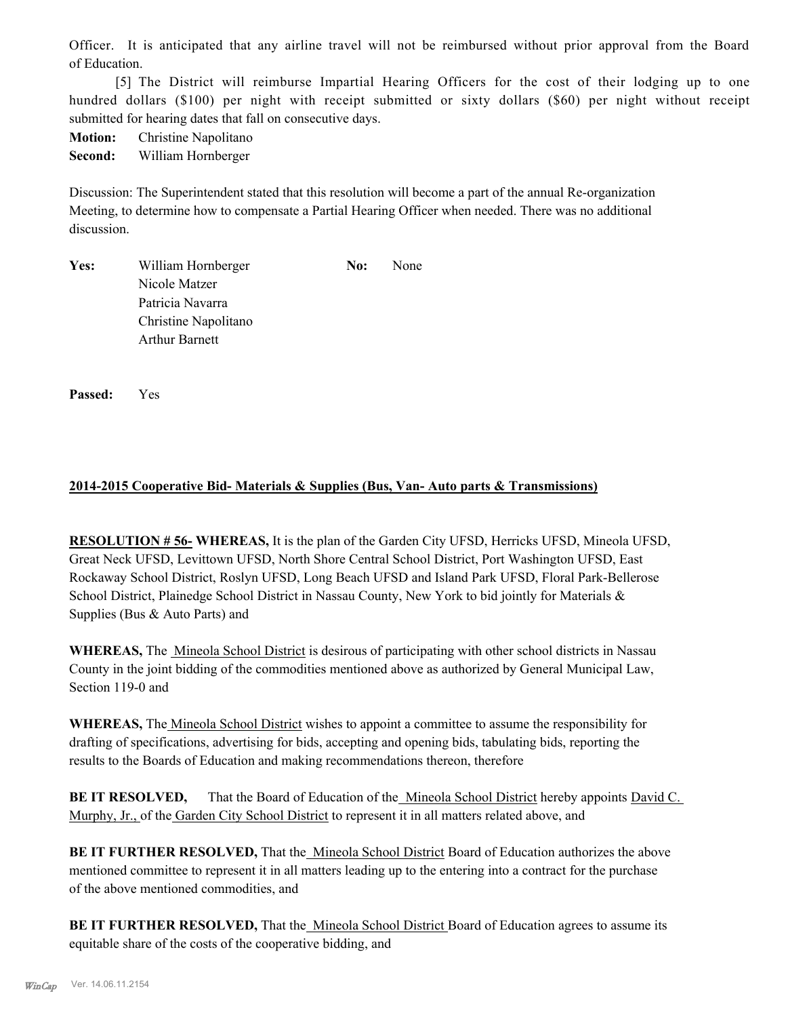Officer. It is anticipated that any airline travel will not be reimbursed without prior approval from the Board of Education.

[5] The District will reimburse Impartial Hearing Officers for the cost of their lodging up to one hundred dollars (\$100) per night with receipt submitted or sixty dollars (\$60) per night without receipt submitted for hearing dates that fall on consecutive days.

**Motion:** Christine Napolitano

**Second:** William Hornberger

Discussion: The Superintendent stated that this resolution will become a part of the annual Re-organization Meeting, to determine how to compensate a Partial Hearing Officer when needed. There was no additional discussion.

| Yes: | William Hornberger    | No: | None |
|------|-----------------------|-----|------|
|      | Nicole Matzer         |     |      |
|      | Patricia Navarra      |     |      |
|      | Christine Napolitano  |     |      |
|      | <b>Arthur Barnett</b> |     |      |
|      |                       |     |      |

**Passed:** Yes

# **2014-2015 Cooperative Bid- Materials & Supplies (Bus, Van- Auto parts & Transmissions)**

**RESOLUTION # 56- WHEREAS,** It is the plan of the Garden City UFSD, Herricks UFSD, Mineola UFSD, Great Neck UFSD, Levittown UFSD, North Shore Central School District, Port Washington UFSD, East Rockaway School District, Roslyn UFSD, Long Beach UFSD and Island Park UFSD, Floral Park-Bellerose School District, Plainedge School District in Nassau County, New York to bid jointly for Materials & Supplies (Bus & Auto Parts) and

**WHEREAS,** The Mineola School District is desirous of participating with other school districts in Nassau County in the joint bidding of the commodities mentioned above as authorized by General Municipal Law, Section 119-0 and

**WHEREAS,** The Mineola School District wishes to appoint a committee to assume the responsibility for drafting of specifications, advertising for bids, accepting and opening bids, tabulating bids, reporting the results to the Boards of Education and making recommendations thereon, therefore

**BE IT RESOLVED.** That the Board of Education of the Mineola School District hereby appoints David C. Murphy, Jr., of the Garden City School District to represent it in all matters related above, and

**BE IT FURTHER RESOLVED,** That the *Mineola School District Board of Education authorizes the above* mentioned committee to represent it in all matters leading up to the entering into a contract for the purchase of the above mentioned commodities, and

**BE IT FURTHER RESOLVED,** That the Mineola School District Board of Education agrees to assume its equitable share of the costs of the cooperative bidding, and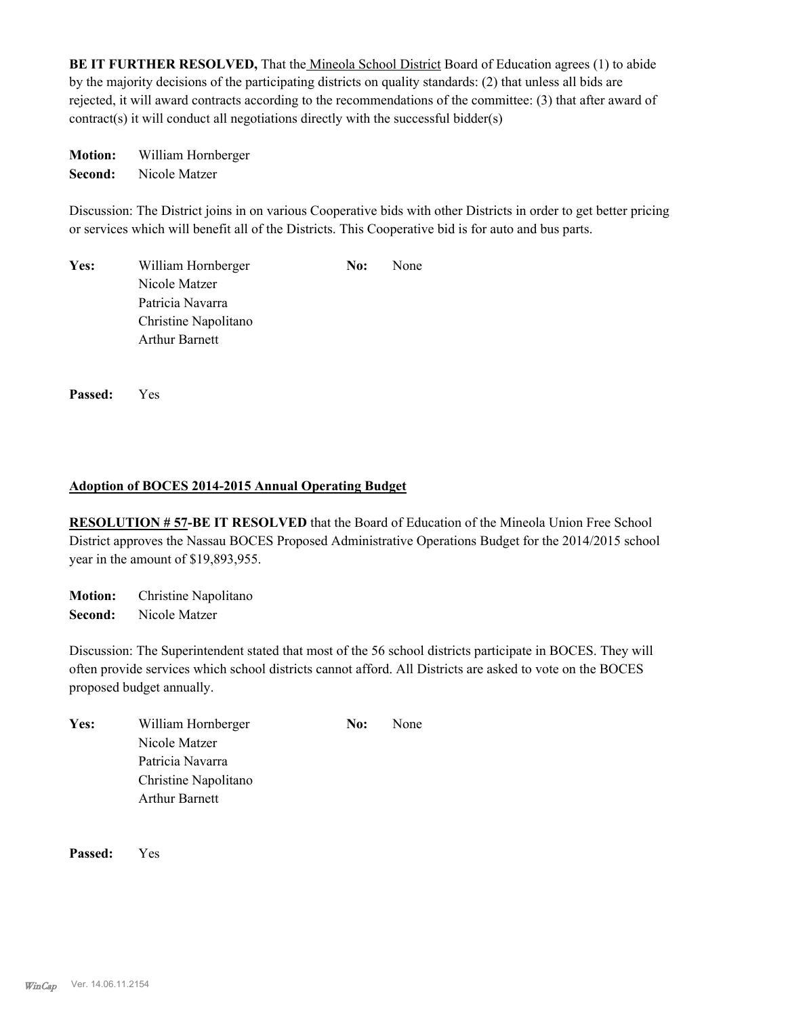BE IT FURTHER RESOLVED, That the Mineola School District Board of Education agrees (1) to abide by the majority decisions of the participating districts on quality standards: (2) that unless all bids are rejected, it will award contracts according to the recommendations of the committee: (3) that after award of contract(s) it will conduct all negotiations directly with the successful bidder(s)

**Motion:** William Hornberger **Second:** Nicole Matzer

Discussion: The District joins in on various Cooperative bids with other Districts in order to get better pricing or services which will benefit all of the Districts. This Cooperative bid is for auto and bus parts.

| Yes: | William Hornberger    | No: | None |
|------|-----------------------|-----|------|
|      | Nicole Matzer         |     |      |
|      | Patricia Navarra      |     |      |
|      | Christine Napolitano  |     |      |
|      | <b>Arthur Barnett</b> |     |      |

**Passed:** Yes

# **Adoption of BOCES 2014-2015 Annual Operating Budget**

**RESOLUTION # 57-BE IT RESOLVED** that the Board of Education of the Mineola Union Free School District approves the Nassau BOCES Proposed Administrative Operations Budget for the 2014/2015 school year in the amount of \$19,893,955.

**Motion:** Christine Napolitano **Second:** Nicole Matzer

Discussion: The Superintendent stated that most of the 56 school districts participate in BOCES. They will often provide services which school districts cannot afford. All Districts are asked to vote on the BOCES proposed budget annually.

| Yes: | William Hornberger    | No: | None |
|------|-----------------------|-----|------|
|      | Nicole Matzer         |     |      |
|      | Patricia Navarra      |     |      |
|      | Christine Napolitano  |     |      |
|      | <b>Arthur Barnett</b> |     |      |

**Passed:** Yes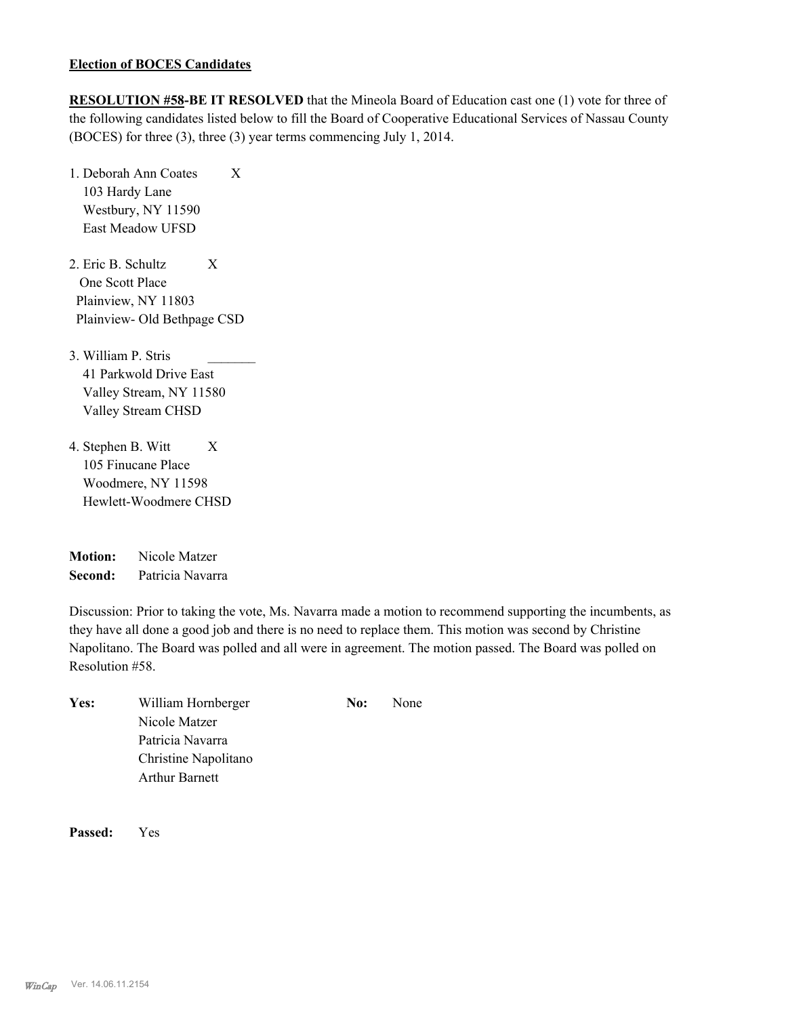## **Election of BOCES Candidates**

**RESOLUTION #58-BE IT RESOLVED** that the Mineola Board of Education cast one (1) vote for three of the following candidates listed below to fill the Board of Cooperative Educational Services of Nassau County (BOCES) for three (3), three (3) year terms commencing July 1, 2014.

- 1. Deborah Ann Coates X 103 Hardy Lane Westbury, NY 11590 East Meadow UFSD
- 2. Eric B. Schultz X One Scott Place Plainview, NY 11803 Plainview- Old Bethpage CSD
- 3. William P. Stris \_\_\_\_\_\_\_ 41 Parkwold Drive East Valley Stream, NY 11580 Valley Stream CHSD
- 4. Stephen B. Witt X 105 Finucane Place Woodmere, NY 11598 Hewlett-Woodmere CHSD

| <b>Motion:</b> | Nicole Matzer    |
|----------------|------------------|
| Second:        | Patricia Navarra |

Discussion: Prior to taking the vote, Ms. Navarra made a motion to recommend supporting the incumbents, as they have all done a good job and there is no need to replace them. This motion was second by Christine Napolitano. The Board was polled and all were in agreement. The motion passed. The Board was polled on Resolution #58.

| Yes: | William Hornberger    | No: | None |
|------|-----------------------|-----|------|
|      | Nicole Matzer         |     |      |
|      | Patricia Navarra      |     |      |
|      | Christine Napolitano  |     |      |
|      | <b>Arthur Barnett</b> |     |      |

**Passed:** Yes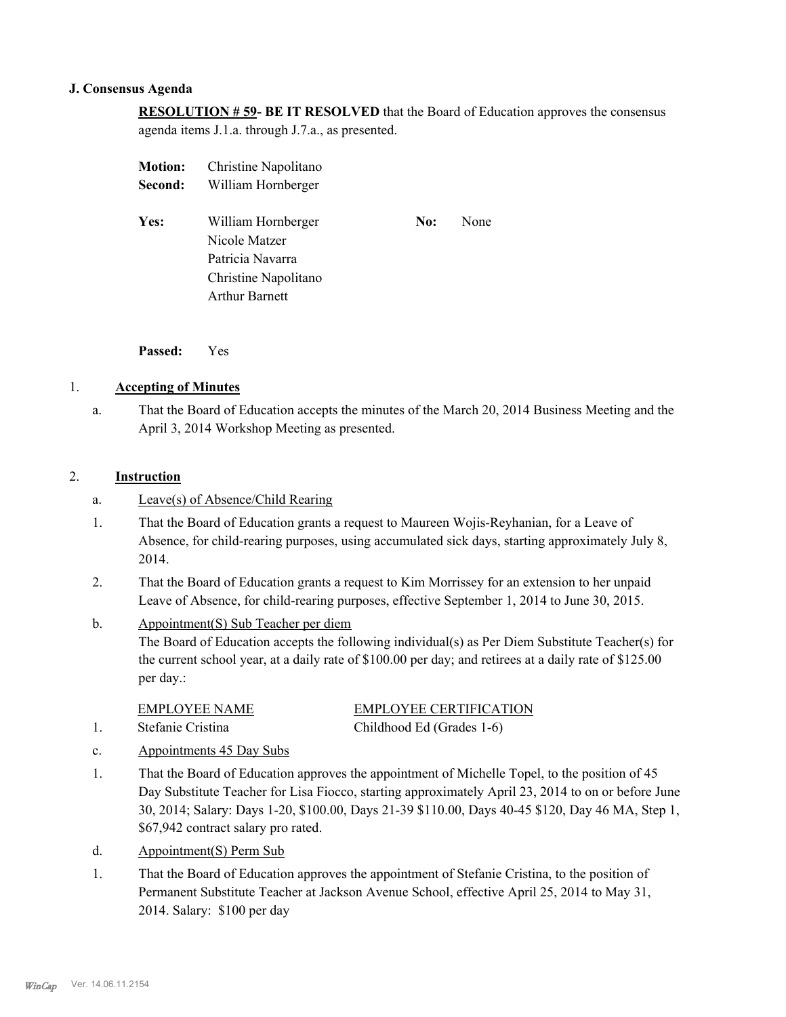#### **J. Consensus Agenda**

**RESOLUTION # 59- BE IT RESOLVED** that the Board of Education approves the consensus agenda items J.1.a. through J.7.a., as presented.

| <b>Motion:</b> | Christine Napolitano                                                                                     |     |      |
|----------------|----------------------------------------------------------------------------------------------------------|-----|------|
| Second:        | William Hornberger                                                                                       |     |      |
| Yes:           | William Hornberger<br>Nicole Matzer<br>Patricia Navarra<br>Christine Napolitano<br><b>Arthur Barnett</b> | No: | None |
|                |                                                                                                          |     |      |

**Passed:** Yes

# 1. **Accepting of Minutes**

That the Board of Education accepts the minutes of the March 20, 2014 Business Meeting and the April 3, 2014 Workshop Meeting as presented. a.

# 2. **Instruction**

- a. Leave(s) of Absence/Child Rearing
- That the Board of Education grants a request to Maureen Wojis-Reyhanian, for a Leave of Absence, for child-rearing purposes, using accumulated sick days, starting approximately July 8, 2014. 1.
- That the Board of Education grants a request to Kim Morrissey for an extension to her unpaid Leave of Absence, for child-rearing purposes, effective September 1, 2014 to June 30, 2015. 2.
- Appointment(S) Sub Teacher per diem The Board of Education accepts the following individual(s) as Per Diem Substitute Teacher(s) for the current school year, at a daily rate of \$100.00 per day; and retirees at a daily rate of \$125.00 per day.: b.

EMPLOYEE NAME EMPLOYEE CERTIFICATION 1. Stefanie Cristina Childhood Ed (Grades 1-6)

- c. Appointments 45 Day Subs
- That the Board of Education approves the appointment of Michelle Topel, to the position of 45 Day Substitute Teacher for Lisa Fiocco, starting approximately April 23, 2014 to on or before June 30, 2014; Salary: Days 1-20, \$100.00, Days 21-39 \$110.00, Days 40-45 \$120, Day 46 MA, Step 1, \$67,942 contract salary pro rated. 1.
- d. Appointment(S) Perm Sub
- That the Board of Education approves the appointment of Stefanie Cristina, to the position of Permanent Substitute Teacher at Jackson Avenue School, effective April 25, 2014 to May 31, 2014. Salary: \$100 per day 1.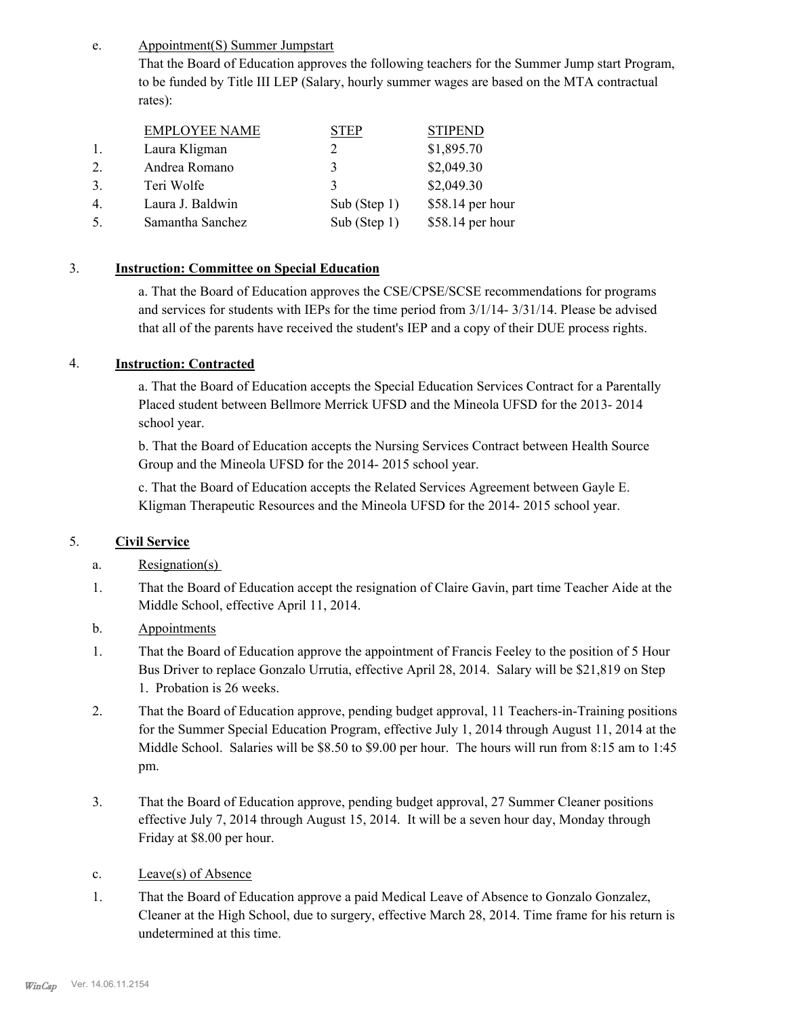Appointment(S) Summer Jumpstart e.

> That the Board of Education approves the following teachers for the Summer Jump start Program, to be funded by Title III LEP (Salary, hourly summer wages are based on the MTA contractual rates):

|                  | <b>EMPLOYEE NAME</b> | ГEР             | <b>STIPEND</b>   |
|------------------|----------------------|-----------------|------------------|
|                  | Laura Kligman        |                 | \$1,895.70       |
| 2                | Andrea Romano        | 3               | \$2,049.30       |
| 3.               | Teri Wolfe           | 3               | \$2,049.30       |
| $\overline{4}$ . | Laura J. Baldwin     | Sub (Step $1$ ) | \$58.14 per hour |
|                  | Samantha Sanchez     | Sub (Step $1$ ) | \$58.14 per hour |

# 3. **Instruction: Committee on Special Education**

a. That the Board of Education approves the CSE/CPSE/SCSE recommendations for programs and services for students with IEPs for the time period from 3/1/14- 3/31/14. Please be advised that all of the parents have received the student's IEP and a copy of their DUE process rights.

# 4. **Instruction: Contracted**

a. That the Board of Education accepts the Special Education Services Contract for a Parentally Placed student between Bellmore Merrick UFSD and the Mineola UFSD for the 2013- 2014 school year.

b. That the Board of Education accepts the Nursing Services Contract between Health Source Group and the Mineola UFSD for the 2014- 2015 school year.

c. That the Board of Education accepts the Related Services Agreement between Gayle E. Kligman Therapeutic Resources and the Mineola UFSD for the 2014- 2015 school year.

# 5. **Civil Service**

- a. Resignation(s)
- That the Board of Education accept the resignation of Claire Gavin, part time Teacher Aide at the Middle School, effective April 11, 2014. 1.
- b. Appointments
- That the Board of Education approve the appointment of Francis Feeley to the position of 5 Hour Bus Driver to replace Gonzalo Urrutia, effective April 28, 2014. Salary will be \$21,819 on Step 1. Probation is 26 weeks. 1.
- That the Board of Education approve, pending budget approval, 11 Teachers-in-Training positions for the Summer Special Education Program, effective July 1, 2014 through August 11, 2014 at the Middle School. Salaries will be \$8.50 to \$9.00 per hour. The hours will run from 8:15 am to 1:45 pm. 2.
- That the Board of Education approve, pending budget approval, 27 Summer Cleaner positions effective July 7, 2014 through August 15, 2014. It will be a seven hour day, Monday through Friday at \$8.00 per hour. 3.
- c. Leave(s) of Absence
- That the Board of Education approve a paid Medical Leave of Absence to Gonzalo Gonzalez, Cleaner at the High School, due to surgery, effective March 28, 2014. Time frame for his return is undetermined at this time. 1.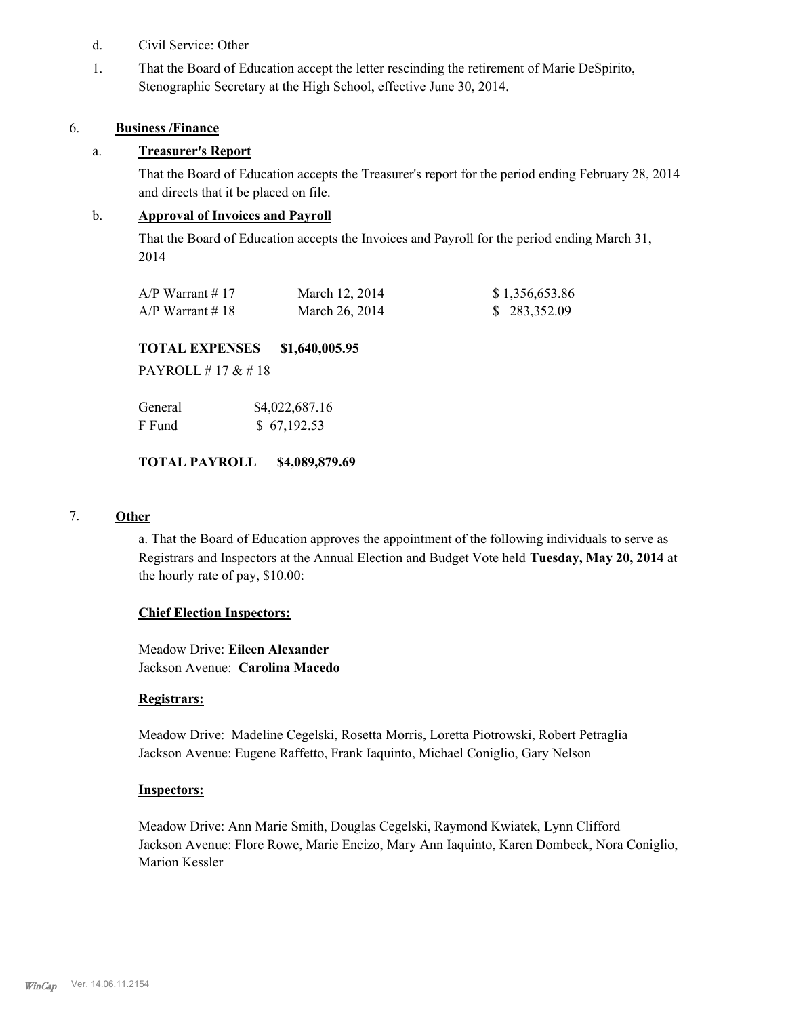- d. Civil Service: Other
- That the Board of Education accept the letter rescinding the retirement of Marie DeSpirito, Stenographic Secretary at the High School, effective June 30, 2014. 1.

#### 6. **Business /Finance**

# a. **Treasurer's Report**

That the Board of Education accepts the Treasurer's report for the period ending February 28, 2014 and directs that it be placed on file.

# b. **Approval of Invoices and Payroll**

That the Board of Education accepts the Invoices and Payroll for the period ending March 31, 2014

| $A/P$ Warrant #17 | March 12, 2014 | \$1,356,653.86 |
|-------------------|----------------|----------------|
| $A/P$ Warrant #18 | March 26, 2014 | \$283,352.09   |

# **TOTAL EXPENSES \$1,640,005.95**

PAYROLL # 17 & # 18

| General | \$4,022,687.16 |
|---------|----------------|
| F Fund  | \$67,192.53    |

# **TOTAL PAYROLL \$4,089,879.69**

# 7. **Other**

a. That the Board of Education approves the appointment of the following individuals to serve as Registrars and Inspectors at the Annual Election and Budget Vote held **Tuesday, May 20, 2014** at the hourly rate of pay, \$10.00:

#### **Chief Election Inspectors:**

Meadow Drive: **Eileen Alexander**  Jackson Avenue: **Carolina Macedo**

#### **Registrars:**

Meadow Drive: Madeline Cegelski, Rosetta Morris, Loretta Piotrowski, Robert Petraglia Jackson Avenue: Eugene Raffetto, Frank Iaquinto, Michael Coniglio, Gary Nelson

#### **Inspectors:**

Meadow Drive: Ann Marie Smith, Douglas Cegelski, Raymond Kwiatek, Lynn Clifford Jackson Avenue: Flore Rowe, Marie Encizo, Mary Ann Iaquinto, Karen Dombeck, Nora Coniglio, Marion Kessler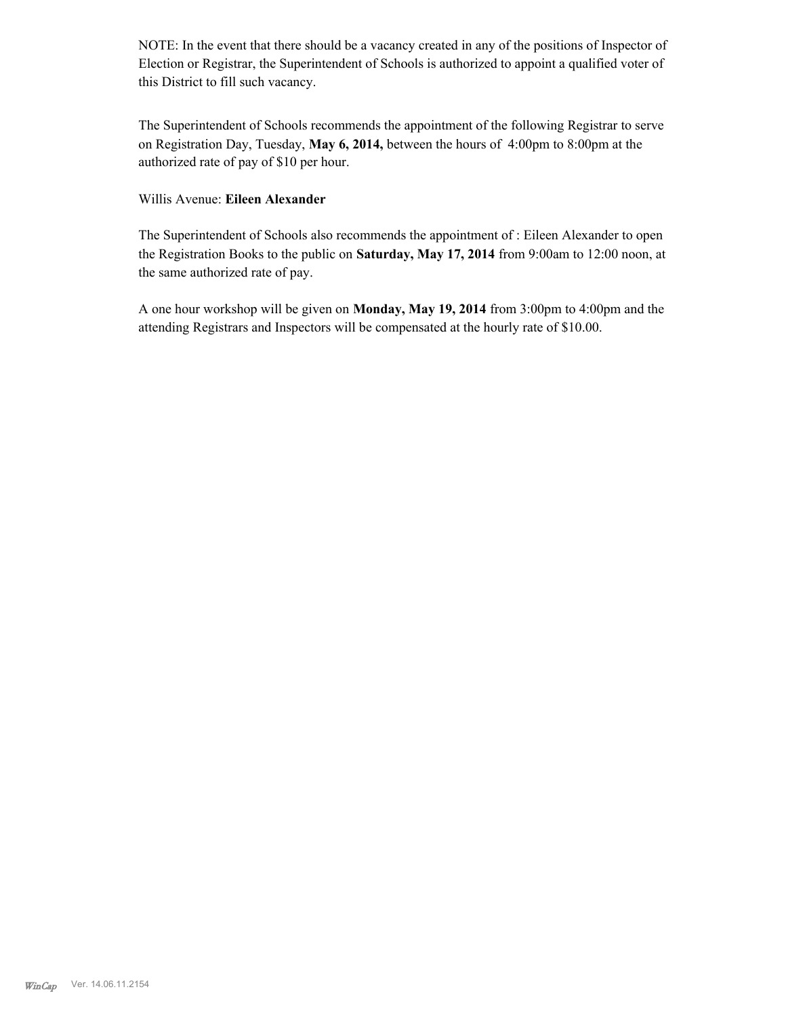NOTE: In the event that there should be a vacancy created in any of the positions of Inspector of Election or Registrar, the Superintendent of Schools is authorized to appoint a qualified voter of this District to fill such vacancy.

The Superintendent of Schools recommends the appointment of the following Registrar to serve on Registration Day, Tuesday, **May 6, 2014,** between the hours of 4:00pm to 8:00pm at the authorized rate of pay of \$10 per hour.

## Willis Avenue: **Eileen Alexander**

The Superintendent of Schools also recommends the appointment of : Eileen Alexander to open the Registration Books to the public on **Saturday, May 17, 2014** from 9:00am to 12:00 noon, at the same authorized rate of pay.

A one hour workshop will be given on **Monday, May 19, 2014** from 3:00pm to 4:00pm and the attending Registrars and Inspectors will be compensated at the hourly rate of \$10.00.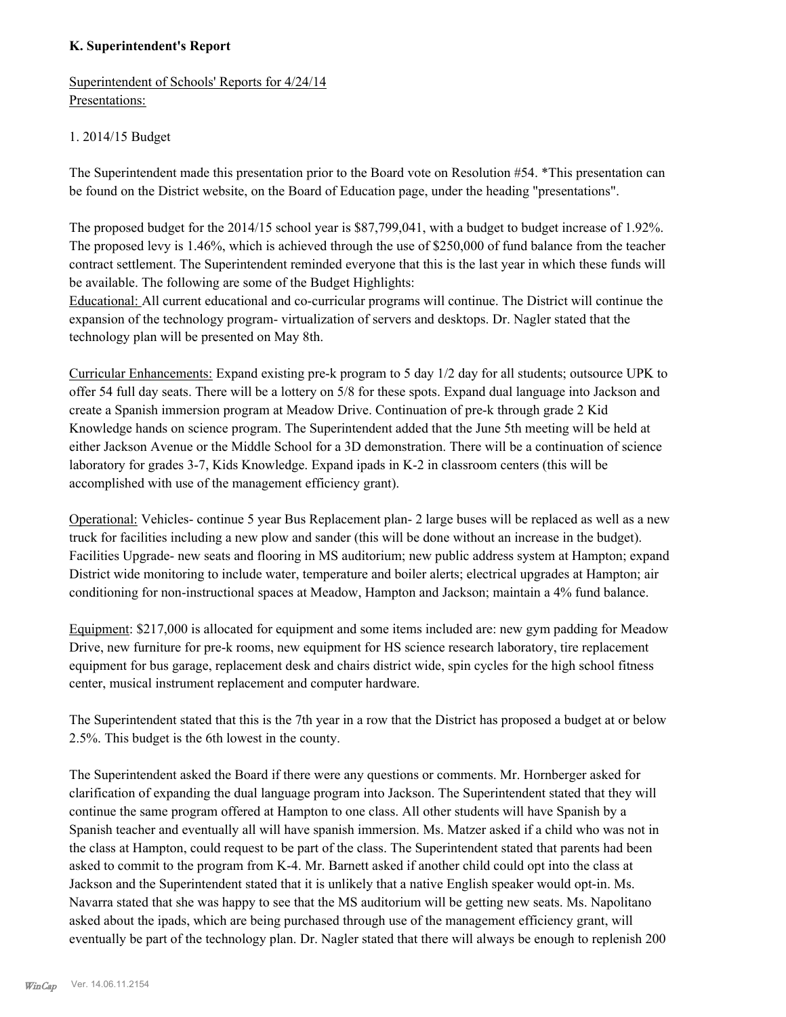# **K. Superintendent's Report**

Superintendent of Schools' Reports for 4/24/14 Presentations:

# 1. 2014/15 Budget

The Superintendent made this presentation prior to the Board vote on Resolution #54. \*This presentation can be found on the District website, on the Board of Education page, under the heading "presentations".

The proposed budget for the 2014/15 school year is \$87,799,041, with a budget to budget increase of 1.92%. The proposed levy is 1.46%, which is achieved through the use of \$250,000 of fund balance from the teacher contract settlement. The Superintendent reminded everyone that this is the last year in which these funds will be available. The following are some of the Budget Highlights:

Educational: All current educational and co-curricular programs will continue. The District will continue the expansion of the technology program- virtualization of servers and desktops. Dr. Nagler stated that the technology plan will be presented on May 8th.

Curricular Enhancements: Expand existing pre-k program to 5 day 1/2 day for all students; outsource UPK to offer 54 full day seats. There will be a lottery on 5/8 for these spots. Expand dual language into Jackson and create a Spanish immersion program at Meadow Drive. Continuation of pre-k through grade 2 Kid Knowledge hands on science program. The Superintendent added that the June 5th meeting will be held at either Jackson Avenue or the Middle School for a 3D demonstration. There will be a continuation of science laboratory for grades 3-7, Kids Knowledge. Expand ipads in K-2 in classroom centers (this will be accomplished with use of the management efficiency grant).

Operational: Vehicles- continue 5 year Bus Replacement plan- 2 large buses will be replaced as well as a new truck for facilities including a new plow and sander (this will be done without an increase in the budget). Facilities Upgrade- new seats and flooring in MS auditorium; new public address system at Hampton; expand District wide monitoring to include water, temperature and boiler alerts; electrical upgrades at Hampton; air conditioning for non-instructional spaces at Meadow, Hampton and Jackson; maintain a 4% fund balance.

Equipment: \$217,000 is allocated for equipment and some items included are: new gym padding for Meadow Drive, new furniture for pre-k rooms, new equipment for HS science research laboratory, tire replacement equipment for bus garage, replacement desk and chairs district wide, spin cycles for the high school fitness center, musical instrument replacement and computer hardware.

The Superintendent stated that this is the 7th year in a row that the District has proposed a budget at or below 2.5%. This budget is the 6th lowest in the county.

The Superintendent asked the Board if there were any questions or comments. Mr. Hornberger asked for clarification of expanding the dual language program into Jackson. The Superintendent stated that they will continue the same program offered at Hampton to one class. All other students will have Spanish by a Spanish teacher and eventually all will have spanish immersion. Ms. Matzer asked if a child who was not in the class at Hampton, could request to be part of the class. The Superintendent stated that parents had been asked to commit to the program from K-4. Mr. Barnett asked if another child could opt into the class at Jackson and the Superintendent stated that it is unlikely that a native English speaker would opt-in. Ms. Navarra stated that she was happy to see that the MS auditorium will be getting new seats. Ms. Napolitano asked about the ipads, which are being purchased through use of the management efficiency grant, will eventually be part of the technology plan. Dr. Nagler stated that there will always be enough to replenish 200